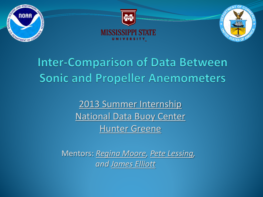

## **Inter-Comparison of Data Between Sonic and Propeller Anemometers**

2013 Summer Internship National Data Buoy Center Hunter Greene

Mentors: *Regina Moore, Pete Lessing, and James Elliott*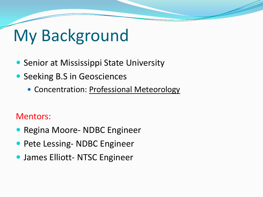# My Background

- **Senior at Mississippi State University**
- Seeking B.S in Geosciences
	- Concentration: Professional Meteorology

#### Mentors:

- Regina Moore- NDBC Engineer
- **Pete Lessing- NDBC Engineer**
- **James Elliott- NTSC Engineer**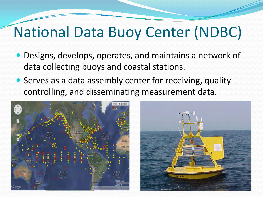# National Data Buoy Center (NDBC)

- Designs, develops, operates, and maintains a network of data collecting buoys and coastal stations.
- Serves as a data assembly center for receiving, quality controlling, and disseminating measurement data.



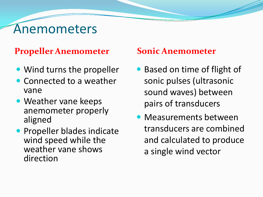## Anemometers

#### **Propeller Anemometer Sonic Anemometer**

- Wind turns the propeller
- Connected to a weather vane
- Weather vane keeps anemometer properly aligned
- **Propeller blades indicate** wind speed while the weather vane shows direction

- Based on time of flight of sonic pulses (ultrasonic sound waves) between pairs of transducers
- Measurements between transducers are combined and calculated to produce a single wind vector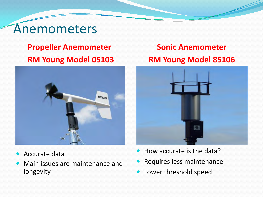## Anemometers

#### **Propeller Anemometer RM Young Model 05103**



- Accurate data
- Main issues are maintenance and longevity

#### **Sonic Anemometer RM Young Model 85106**



- How accurate is the data?
- Requires less maintenance
- Lower threshold speed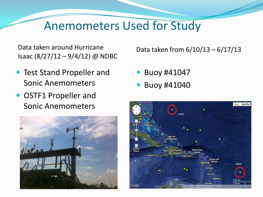### Anemometers Used for Study

Data taken around Hurricane Isaac (8/27/12 – 9/4/12) @ NDBC

- **Test Stand Propeller and** Sonic Anemometers
- OSTF1 Propeller and Sonic Anemometers



Data taken from 6/10/13 – 6/17/13

- **Buoy #41047**
- Buoy #41040

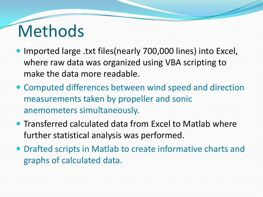# Methods

- Imported large .txt files(nearly 700,000 lines) into Excel, where raw data was organized using VBA scripting to make the data more readable.
- Computed differences between wind speed and direction measurements taken by propeller and sonic anemometers simultaneously.
- Transferred calculated data from Excel to Matlab where further statistical analysis was performed.
- Drafted scripts in Matlab to create informative charts and graphs of calculated data.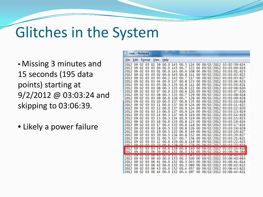# Glitches in the System

• Missing 3 minutes and 15 seconds (195 data points) starting at 9/2/2012 @ 03:03:24 and skipping to 03:06:39.

• Likely a power failure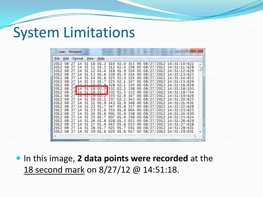## System Limitations

|                            | isaac - Notepad |  |  |  |  |  |                                                                                                                                                                                                                                                                                                                                                                                                                                                                                                                                                                                                                                                                                                                                                                                                                                                                                                                                                                                                                                                                                                                              |  | l = |   |
|----------------------------|-----------------|--|--|--|--|--|------------------------------------------------------------------------------------------------------------------------------------------------------------------------------------------------------------------------------------------------------------------------------------------------------------------------------------------------------------------------------------------------------------------------------------------------------------------------------------------------------------------------------------------------------------------------------------------------------------------------------------------------------------------------------------------------------------------------------------------------------------------------------------------------------------------------------------------------------------------------------------------------------------------------------------------------------------------------------------------------------------------------------------------------------------------------------------------------------------------------------|--|-----|---|
| File Edit Format View Help |                 |  |  |  |  |  |                                                                                                                                                                                                                                                                                                                                                                                                                                                                                                                                                                                                                                                                                                                                                                                                                                                                                                                                                                                                                                                                                                                              |  |     |   |
|                            |                 |  |  |  |  |  | 2012 08 27 14 51 10 01.2 310 02.0 315 00 08/27/2012 14:51:10:622<br>2012 08 27 14 51 11 01.2 312 02.0 326 00 08/27/2012 14:51:11:628<br>2012 08 27 14 51 12 01.4 318 01.9 324 00 08/27/2012 14:51:12:629<br>2012 08 27 14 51 13 01.6 330 01.9 324 00 08/27/2012 14:51:13:625<br>2012 08 27 14 51 14 01.6 325 02.0 324 00 08/27/2012 14:51:14:623<br>2012 08 27 14 51 15 01.7 325 02.1 327 00 08/27/2012 14:51:15:629<br>2012 08 27 14 51 16 01 8 328 02.1 335 00 08/27/2012 14:51:16:628<br>2012 08 27 14 51 18 02.0 332 02.2 338 00 08/27/2012 14:51:18:103<br>2012 08 27 14 51 18 02.2 331 02.5 322 00 08/27/2012 14:51:18:744<br>2012 08 27 14 51 19 02.2 335 02.6 347 00 08/27/2012 14:51:19:626<br>2012 08 27 14 51 20 02.1 337 02.1 343 00 08/27/2012 14:51:20:625<br>2012 08 27 14 51 21 01.9 343 01.9 348 00 08/27/2012 14:51:21:631<br>2012 08 27 14 51 22 01.7 347 01.8 357 00 08/27/2012 14:51:22:628<br>2012 08 27 14 51 23 01.6 353 01.8 004 00 08/27/2012 14:51:23:625<br>2012 08 27 14 51 24 01.6 001 01.9 358 00 08/27/2012 14:51:24:630<br>2012 08 27 14 51 25 01.7 007 01.6 356 00 08/27/2012 14:51:25:624 |  |     | × |
|                            |                 |  |  |  |  |  | 2012 08 27 14 51 26 01.8 028 01.3 022 00 08/27/2012 14:51:26:629<br>2012 08 27 14 51 27 01.6 042 01.8 033 00 08/27/2012 14:51:27:628<br>2012 08 27 14 51 28 01.7 021 01.7 031 00 08/27/2012 14:51:28:631<br>2012 08 27 14 51 29 01.6 020 01.6 017 00 08/27/2012 14:51:29:631                                                                                                                                                                                                                                                                                                                                                                                                                                                                                                                                                                                                                                                                                                                                                                                                                                                 |  |     |   |
|                            |                 |  |  |  |  |  |                                                                                                                                                                                                                                                                                                                                                                                                                                                                                                                                                                                                                                                                                                                                                                                                                                                                                                                                                                                                                                                                                                                              |  |     |   |

**In this image, 2 data points were recorded** at the 18 second mark on 8/27/12 @ 14:51:18.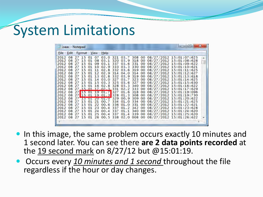# System Limitations

| 日<br><b>RECENT</b><br>isaac - Notepad |  |                       |  |  |      |  |  |  |  |  |                                                                                                                                                                                                                                                                                                                                                                                                                                                                                                                                                                                                                                                                                                                                                                                                                                                                                                                                                                                                                                                                                                                                                                                                                                                                                                                                          |  |  |  |
|---------------------------------------|--|-----------------------|--|--|------|--|--|--|--|--|------------------------------------------------------------------------------------------------------------------------------------------------------------------------------------------------------------------------------------------------------------------------------------------------------------------------------------------------------------------------------------------------------------------------------------------------------------------------------------------------------------------------------------------------------------------------------------------------------------------------------------------------------------------------------------------------------------------------------------------------------------------------------------------------------------------------------------------------------------------------------------------------------------------------------------------------------------------------------------------------------------------------------------------------------------------------------------------------------------------------------------------------------------------------------------------------------------------------------------------------------------------------------------------------------------------------------------------|--|--|--|
|                                       |  | File Edit Format View |  |  | Help |  |  |  |  |  |                                                                                                                                                                                                                                                                                                                                                                                                                                                                                                                                                                                                                                                                                                                                                                                                                                                                                                                                                                                                                                                                                                                                                                                                                                                                                                                                          |  |  |  |
|                                       |  |                       |  |  |      |  |  |  |  |  | 2012 08 27 15 01 07 03.0 321 03.7 308 00 08/27/2012 15:01:07:625<br>2012 08 27 15 01 08 03.1 320 03.9 318 00 08/27/2012 15:01:08:628<br>2012 08 27 15 01 09 03.1 337 03.6 331 00 08/27/2012 15:01:09:622<br>2012 08 27 15 01 10 02.9 333 03.3 330 00 08/27/2012 15:01:10:621<br>2012 08 27 15 01 11 02.8 332 03.6 319 00 08/27/2012 15:01:11:625<br>2012 08 27 15 01 12 02.9 314 04.0 314 00 08/27/2012 15:01:12:627<br>2012 08 27 15 01 13 02.8 332 03.9 319 00 08/27/2012 15:01:13:618<br>2012 08 27 15 01 14 03.0 327 03.7 323 00 08/27/2012 15:01:14:625<br>2012 08 27 15 01 15 03.3 325 03.6 327 00 08/27/2012 15:01:15:630<br>2012 08 27 15 01 16 02.8 328 03.3 340 00 08/27/2012 15:01:16:622<br>2012 08 27 15 01 17 02 3 331 02 2 333 00 08/27/2012 15:01:17:629<br>2012 08 27 15 01 19 01.7 327 01.6 318 00 08/27/2012 15:01:19:096<br>2012 08 27 15 01 19 01 3 328 01 3 308 00 08/27/2012 15:01:19:730<br>2012 08 27 15 01 20 01.0 329 00.9 309 00 08/27/2012 15:01:20:622<br>2012 08 27 15 01 21 00.7 334 01.0 334 00 08/27/2012 15:01:21:625<br>2012 08 27 15 01 22 00.6 336 01.0 331 00 08/27/2012 15:01:22:621<br>2012 08 27 15 01 23 00.4 337 01.2 342 00 08/27/2012 15:01:23:628<br>2012 08 27 15 01 24 00.4 337 01.1 340 00 08/27/2012 15:01:24:620<br>2012 08 27 15 01 25 00.4 337 01.4 339 00 08/27/2012 15:01:25:620 |  |  |  |
|                                       |  |                       |  |  |      |  |  |  |  |  | 2012 08 27 15 01 26 00.5 338 02.0 008 00 08/27/2012 15:01:26:622                                                                                                                                                                                                                                                                                                                                                                                                                                                                                                                                                                                                                                                                                                                                                                                                                                                                                                                                                                                                                                                                                                                                                                                                                                                                         |  |  |  |

- In this image, the same problem occurs exactly 10 minutes and 1 second later. You can see there **are 2 data points recorded** at the 19 second mark on 8/27/12 but @15:01:19.
- Occurs every *10 minutes and 1 second* throughout the file regardless if the hour or day changes.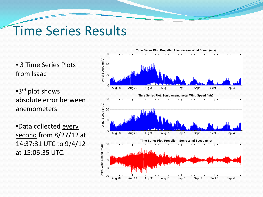## Time Series Results

• 3 Time Series Plots from Isaac

•3rd plot shows absolute error between anemometers

•Data collected every second from 8/27/12 at 14:37:31 UTC to 9/4/12 at 15:06:35 UTC.

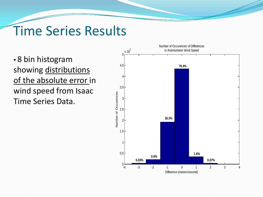## Time Series Results

• 8 bin histogram showing distributions of the absolute error in wind speed from Isaac Time Series Data.

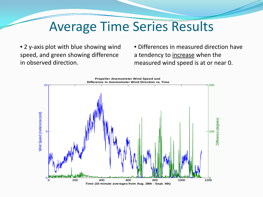## Average Time Series Results

• 2 y-axis plot with blue showing wind speed, and green showing difference in observed direction.

• Differences in measured direction have a tendency to increase when the measured wind speed is at or near 0.

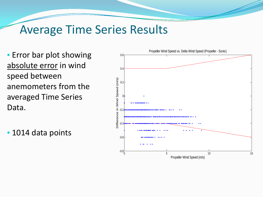#### Average Time Series Results

• Error bar plot showing absolute error in wind speed between anemometers from the averaged Time Series Data.

• 1014 data points

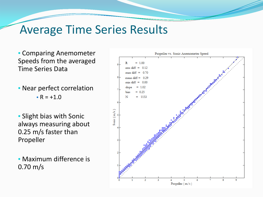#### Average Time Series Results

- Comparing Anemometer Speeds from the averaged Time Series Data
- Near perfect correlation •  $R = +1.0$
- Slight bias with Sonic always measuring about 0.25 m/s faster than Propeller

• Maximum difference is 0.70 m/s

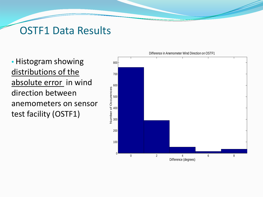#### OSTF1 Data Results

• Histogram showing distributions of the absolute error in wind direction between anemometers on sensor test facility (OSTF1)

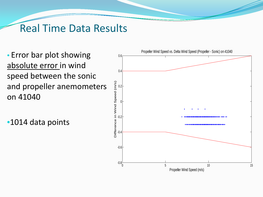#### Real Time Data Results

• Error bar plot showing absolute error in wind speed between the sonic and propeller anemometers on 41040

•1014 data points

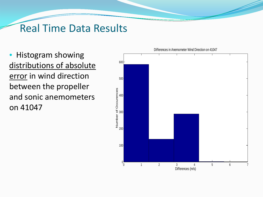#### Real Time Data Results

• Histogram showing distributions of absolute error in wind direction between the propeller and sonic anemometers on 41047



Differences in Anemometer Wind Direction on 41047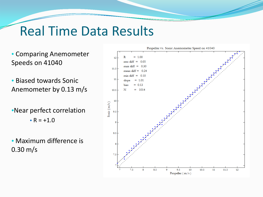## Real Time Data Results

- Comparing Anemometer Speeds on 41040
- Biased towards Sonic Anemometer by 0.13 m/s
- •Near perfect correlation •  $R = +1.0$
- Maximum difference is 0.30 m/s

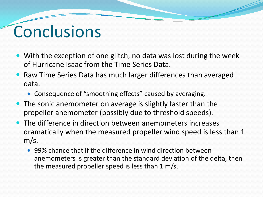# Conclusions

- With the exception of one glitch, no data was lost during the week of Hurricane Isaac from the Time Series Data.
- Raw Time Series Data has much larger differences than averaged data.
	- Consequence of "smoothing effects" caused by averaging.
- The sonic anemometer on average is slightly faster than the propeller anemometer (possibly due to threshold speeds).
- The difference in direction between anemometers increases dramatically when the measured propeller wind speed is less than 1 m/s.
	- 99% chance that if the difference in wind direction between anemometers is greater than the standard deviation of the delta, then the measured propeller speed is less than 1 m/s.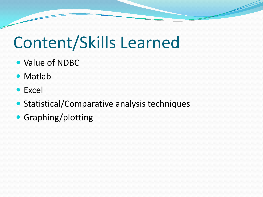# Content/Skills Learned

- Value of NDBC
- Matlab
- Excel
- Statistical/Comparative analysis techniques
- Graphing/plotting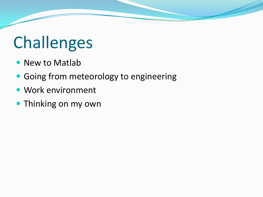# Challenges

- New to Matlab
- **Going from meteorology to engineering**
- Work environment
- Thinking on my own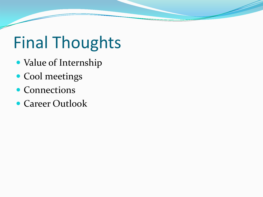# Final Thoughts

- Value of Internship
- Cool meetings
- Connections
- Career Outlook